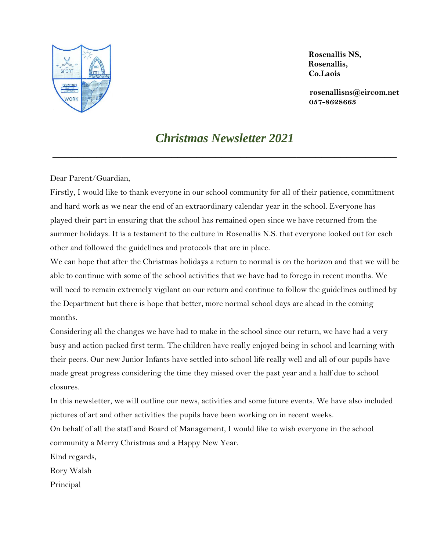

 **Rosenallis NS, Rosenallis, Co.Laois**

**[rosenallisns@eircom.net](mailto:rosenallisns@eircom.net) 057-8628663**

# *Christmas Newsletter 2021*

\_\_\_\_\_\_\_\_\_\_\_\_\_\_\_\_\_\_\_\_\_\_\_\_\_\_\_\_\_\_\_\_\_\_\_\_\_\_\_\_\_\_\_\_\_\_\_\_\_\_\_\_\_\_\_

Dear Parent/Guardian,

Firstly, I would like to thank everyone in our school community for all of their patience, commitment and hard work as we near the end of an extraordinary calendar year in the school. Everyone has played their part in ensuring that the school has remained open since we have returned from the summer holidays. It is a testament to the culture in Rosenallis N.S. that everyone looked out for each other and followed the guidelines and protocols that are in place.

We can hope that after the Christmas holidays a return to normal is on the horizon and that we will be able to continue with some of the school activities that we have had to forego in recent months. We will need to remain extremely vigilant on our return and continue to follow the guidelines outlined by the Department but there is hope that better, more normal school days are ahead in the coming months.

Considering all the changes we have had to make in the school since our return, we have had a very busy and action packed first term. The children have really enjoyed being in school and learning with their peers. Our new Junior Infants have settled into school life really well and all of our pupils have made great progress considering the time they missed over the past year and a half due to school closures.

In this newsletter, we will outline our news, activities and some future events. We have also included pictures of art and other activities the pupils have been working on in recent weeks.

On behalf of all the staff and Board of Management, I would like to wish everyone in the school community a Merry Christmas and a Happy New Year.

Kind regards,

Rory Walsh

Principal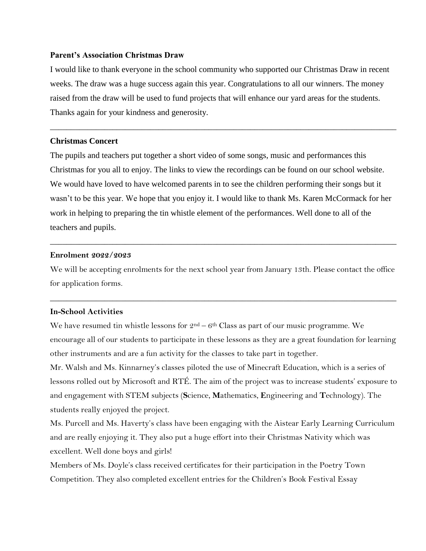#### **Parent's Association Christmas Draw**

I would like to thank everyone in the school community who supported our Christmas Draw in recent weeks. The draw was a huge success again this year. Congratulations to all our winners. The money raised from the draw will be used to fund projects that will enhance our yard areas for the students. Thanks again for your kindness and generosity.

\_\_\_\_\_\_\_\_\_\_\_\_\_\_\_\_\_\_\_\_\_\_\_\_\_\_\_\_\_\_\_\_\_\_\_\_\_\_\_\_\_\_\_\_\_\_\_\_\_\_\_\_\_\_\_\_\_\_\_\_\_\_\_\_\_\_\_\_\_\_\_\_\_\_\_\_\_\_\_\_\_\_\_

# **Christmas Concert**

The pupils and teachers put together a short video of some songs, music and performances this Christmas for you all to enjoy. The links to view the recordings can be found on our school website. We would have loved to have welcomed parents in to see the children performing their songs but it wasn't to be this year. We hope that you enjoy it. I would like to thank Ms. Karen McCormack for her work in helping to preparing the tin whistle element of the performances. Well done to all of the teachers and pupils.

### **Enrolment 2022/2023**

We will be accepting enrolments for the next school year from January 13th. Please contact the office for application forms.

\_\_\_\_\_\_\_\_\_\_\_\_\_\_\_\_\_\_\_\_\_\_\_\_\_\_\_\_\_\_\_\_\_\_\_\_\_\_\_\_\_\_\_\_\_\_\_\_\_\_\_\_\_\_\_\_\_\_\_\_\_\_\_\_\_\_\_\_\_\_\_\_\_\_\_\_\_\_\_\_\_\_\_

\_\_\_\_\_\_\_\_\_\_\_\_\_\_\_\_\_\_\_\_\_\_\_\_\_\_\_\_\_\_\_\_\_\_\_\_\_\_\_\_\_\_\_\_\_\_\_\_\_\_\_\_\_\_\_\_\_\_\_\_\_\_\_\_\_\_\_\_\_\_\_\_\_\_\_\_\_\_\_\_\_\_\_

# **In-School Activities**

We have resumed tin whistle lessons for  $2<sup>nd</sup> - 6<sup>th</sup> Class$  as part of our music programme. We encourage all of our students to participate in these lessons as they are a great foundation for learning other instruments and are a fun activity for the classes to take part in together.

Mr. Walsh and Ms. Kinnarney's classes piloted the use of Minecraft Education, which is a series of lessons rolled out by Microsoft and RTÉ. The aim of the project was to increase students' exposure to and engagement with STEM subjects (**S**cience, **M**athematics, **E**ngineering and **T**echnology). The students really enjoyed the project.

Ms. Purcell and Ms. Haverty's class have been engaging with the Aistear Early Learning Curriculum and are really enjoying it. They also put a huge effort into their Christmas Nativity which was excellent. Well done boys and girls!

Members of Ms. Doyle's class received certificates for their participation in the Poetry Town Competition. They also completed excellent entries for the Children's Book Festival Essay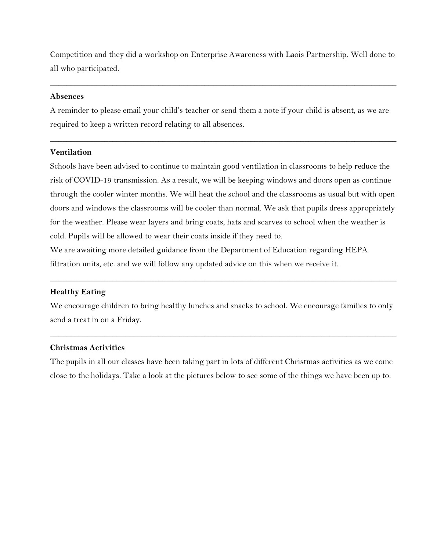Competition and they did a workshop on Enterprise Awareness with Laois Partnership. Well done to all who participated.

\_\_\_\_\_\_\_\_\_\_\_\_\_\_\_\_\_\_\_\_\_\_\_\_\_\_\_\_\_\_\_\_\_\_\_\_\_\_\_\_\_\_\_\_\_\_\_\_\_\_\_\_\_\_\_\_\_\_\_\_\_\_\_\_\_\_\_\_\_\_\_\_\_\_\_\_\_\_\_\_\_\_\_

#### **Absences**

A reminder to please email your child's teacher or send them a note if your child is absent, as we are required to keep a written record relating to all absences.

\_\_\_\_\_\_\_\_\_\_\_\_\_\_\_\_\_\_\_\_\_\_\_\_\_\_\_\_\_\_\_\_\_\_\_\_\_\_\_\_\_\_\_\_\_\_\_\_\_\_\_\_\_\_\_\_\_\_\_\_\_\_\_\_\_\_\_\_\_\_\_\_\_\_\_\_\_\_\_\_\_\_\_

#### **Ventilation**

Schools have been advised to continue to maintain good ventilation in classrooms to help reduce the risk of COVID-19 transmission. As a result, we will be keeping windows and doors open as continue through the cooler winter months. We will heat the school and the classrooms as usual but with open doors and windows the classrooms will be cooler than normal. We ask that pupils dress appropriately for the weather. Please wear layers and bring coats, hats and scarves to school when the weather is cold. Pupils will be allowed to wear their coats inside if they need to.

We are awaiting more detailed guidance from the Department of Education regarding HEPA filtration units, etc. and we will follow any updated advice on this when we receive it.

#### **Healthy Eating**

We encourage children to bring healthy lunches and snacks to school. We encourage families to only send a treat in on a Friday.

\_\_\_\_\_\_\_\_\_\_\_\_\_\_\_\_\_\_\_\_\_\_\_\_\_\_\_\_\_\_\_\_\_\_\_\_\_\_\_\_\_\_\_\_\_\_\_\_\_\_\_\_\_\_\_\_\_\_\_\_\_\_\_\_\_\_\_\_\_\_\_\_\_\_\_\_\_\_\_\_\_\_\_

\_\_\_\_\_\_\_\_\_\_\_\_\_\_\_\_\_\_\_\_\_\_\_\_\_\_\_\_\_\_\_\_\_\_\_\_\_\_\_\_\_\_\_\_\_\_\_\_\_\_\_\_\_\_\_\_\_\_\_\_\_\_\_\_\_\_\_\_\_\_\_\_\_\_\_\_\_\_\_\_\_\_\_

#### **Christmas Activities**

The pupils in all our classes have been taking part in lots of different Christmas activities as we come close to the holidays. Take a look at the pictures below to see some of the things we have been up to.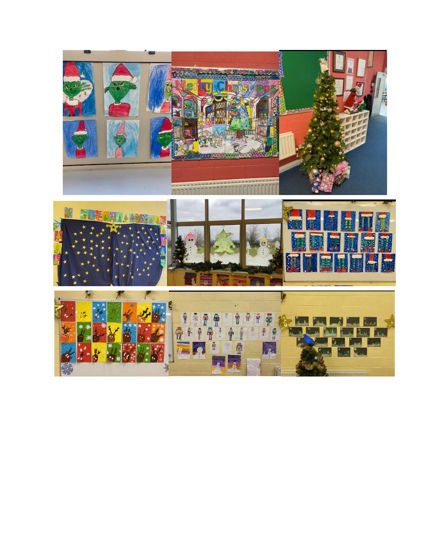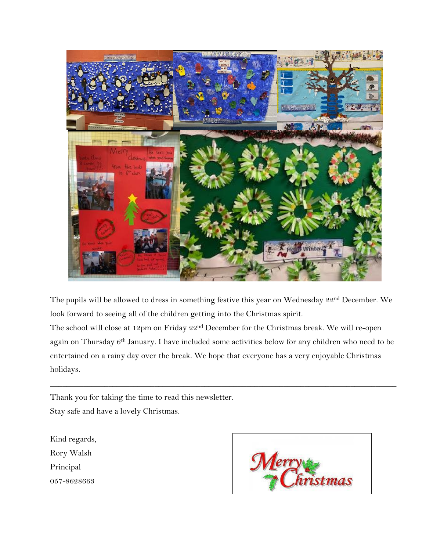

The pupils will be allowed to dress in something festive this year on Wednesday 22<sup>nd</sup> December. We look forward to seeing all of the children getting into the Christmas spirit. The school will close at 12pm on Friday 22nd December for the Christmas break. We will re-open again on Thursday 6<sup>th</sup> January. I have included some activities below for any children who need to be entertained on a rainy day over the break. We hope that everyone has a very enjoyable Christmas holidays.

\_\_\_\_\_\_\_\_\_\_\_\_\_\_\_\_\_\_\_\_\_\_\_\_\_\_\_\_\_\_\_\_\_\_\_\_\_\_\_\_\_\_\_\_\_\_\_\_\_\_\_\_\_\_\_\_\_\_\_\_\_\_\_\_\_\_\_\_\_\_\_\_\_\_\_\_\_\_\_\_\_\_\_

Thank you for taking the time to read this newsletter. Stay safe and have a lovely Christmas.

Kind regards, Rory Walsh Principal 057-8628663